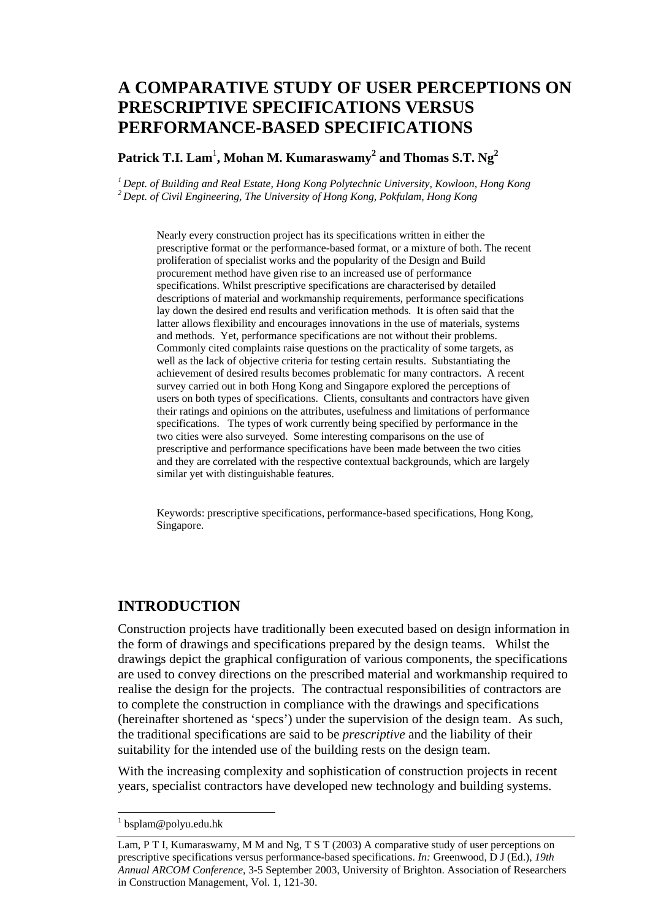# **A COMPARATIVE STUDY OF USER PERCEPTIONS ON PRESCRIPTIVE SPECIFICATIONS VERSUS PERFORMANCE-BASED SPECIFICATIONS**

**Patrick T.I. Lam**<sup>1</sup> **, Mohan M. Kumaraswamy<sup>2</sup> and Thomas S.T. Ng<sup>2</sup>**

*1 Dept. of Building and Real Estate, Hong Kong Polytechnic University, Kowloon, Hong Kong 2 Dept. of Civil Engineering, The University of Hong Kong, Pokfulam, Hong Kong* 

Nearly every construction project has its specifications written in either the prescriptive format or the performance-based format, or a mixture of both. The recent proliferation of specialist works and the popularity of the Design and Build procurement method have given rise to an increased use of performance specifications. Whilst prescriptive specifications are characterised by detailed descriptions of material and workmanship requirements, performance specifications lay down the desired end results and verification methods. It is often said that the latter allows flexibility and encourages innovations in the use of materials, systems and methods. Yet, performance specifications are not without their problems. Commonly cited complaints raise questions on the practicality of some targets, as well as the lack of objective criteria for testing certain results. Substantiating the achievement of desired results becomes problematic for many contractors. A recent survey carried out in both Hong Kong and Singapore explored the perceptions of users on both types of specifications. Clients, consultants and contractors have given their ratings and opinions on the attributes, usefulness and limitations of performance specifications. The types of work currently being specified by performance in the two cities were also surveyed. Some interesting comparisons on the use of prescriptive and performance specifications have been made between the two cities and they are correlated with the respective contextual backgrounds, which are largely similar yet with distinguishable features.

Keywords: prescriptive specifications, performance-based specifications, Hong Kong, Singapore.

### **INTRODUCTION**

Construction projects have traditionally been executed based on design information in the form of drawings and specifications prepared by the design teams. Whilst the drawings depict the graphical configuration of various components, the specifications are used to convey directions on the prescribed material and workmanship required to realise the design for the projects. The contractual responsibilities of contractors are to complete the construction in compliance with the drawings and specifications (hereinafter shortened as 'specs') under the supervision of the design team. As such, the traditional specifications are said to be *prescriptive* and the liability of their suitability for the intended use of the building rests on the design team.

With the increasing complexity and sophistication of construction projects in recent years, specialist contractors have developed new technology and building systems.

<sup>&</sup>lt;sup>1</sup> bsplam@polyu.edu.hk

Lam, P T I, Kumaraswamy, M M and Ng, T S T (2003) A comparative study of user perceptions on prescriptive specifications versus performance-based specifications. *In:* Greenwood, D J (Ed.), *19th Annual ARCOM Conference*, 3-5 September 2003, University of Brighton. Association of Researchers in Construction Management, Vol. 1, 121-30.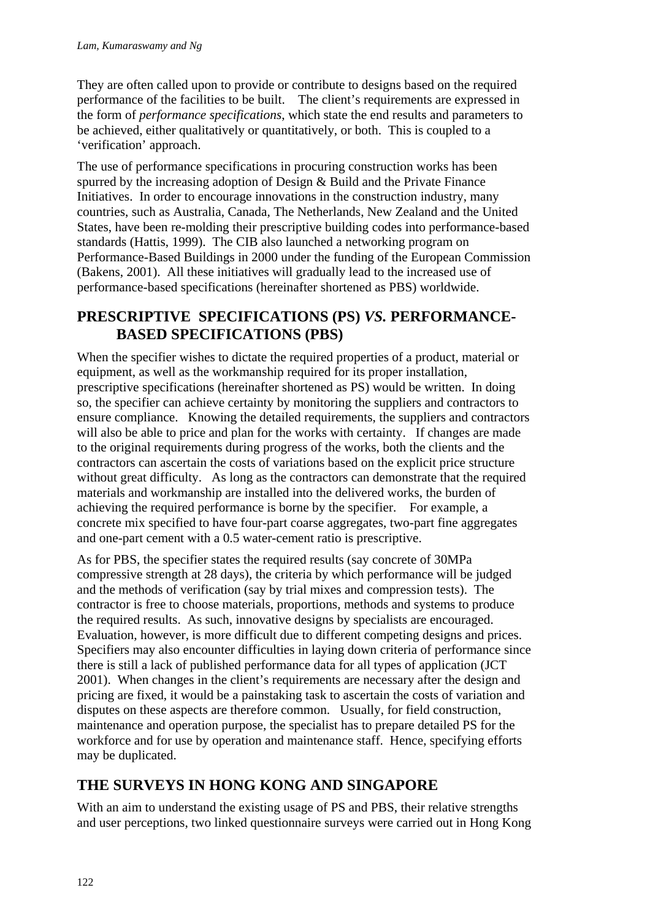They are often called upon to provide or contribute to designs based on the required performance of the facilities to be built. The client's requirements are expressed in the form of *performance specifications*, which state the end results and parameters to be achieved, either qualitatively or quantitatively, or both. This is coupled to a 'verification' approach.

The use of performance specifications in procuring construction works has been spurred by the increasing adoption of Design & Build and the Private Finance Initiatives. In order to encourage innovations in the construction industry, many countries, such as Australia, Canada, The Netherlands, New Zealand and the United States, have been re-molding their prescriptive building codes into performance-based standards (Hattis, 1999). The CIB also launched a networking program on Performance-Based Buildings in 2000 under the funding of the European Commission (Bakens, 2001). All these initiatives will gradually lead to the increased use of performance-based specifications (hereinafter shortened as PBS) worldwide.

### **PRESCRIPTIVE SPECIFICATIONS (PS)** *VS.* **PERFORMANCE-BASED SPECIFICATIONS (PBS)**

When the specifier wishes to dictate the required properties of a product, material or equipment, as well as the workmanship required for its proper installation, prescriptive specifications (hereinafter shortened as PS) would be written. In doing so, the specifier can achieve certainty by monitoring the suppliers and contractors to ensure compliance. Knowing the detailed requirements, the suppliers and contractors will also be able to price and plan for the works with certainty. If changes are made to the original requirements during progress of the works, both the clients and the contractors can ascertain the costs of variations based on the explicit price structure without great difficulty. As long as the contractors can demonstrate that the required materials and workmanship are installed into the delivered works, the burden of achieving the required performance is borne by the specifier. For example, a concrete mix specified to have four-part coarse aggregates, two-part fine aggregates and one-part cement with a 0.5 water-cement ratio is prescriptive.

As for PBS, the specifier states the required results (say concrete of 30MPa compressive strength at 28 days), the criteria by which performance will be judged and the methods of verification (say by trial mixes and compression tests). The contractor is free to choose materials, proportions, methods and systems to produce the required results. As such, innovative designs by specialists are encouraged. Evaluation, however, is more difficult due to different competing designs and prices. Specifiers may also encounter difficulties in laying down criteria of performance since there is still a lack of published performance data for all types of application (JCT 2001). When changes in the client's requirements are necessary after the design and pricing are fixed, it would be a painstaking task to ascertain the costs of variation and disputes on these aspects are therefore common. Usually, for field construction, maintenance and operation purpose, the specialist has to prepare detailed PS for the workforce and for use by operation and maintenance staff. Hence, specifying efforts may be duplicated.

# **THE SURVEYS IN HONG KONG AND SINGAPORE**

With an aim to understand the existing usage of PS and PBS, their relative strengths and user perceptions, two linked questionnaire surveys were carried out in Hong Kong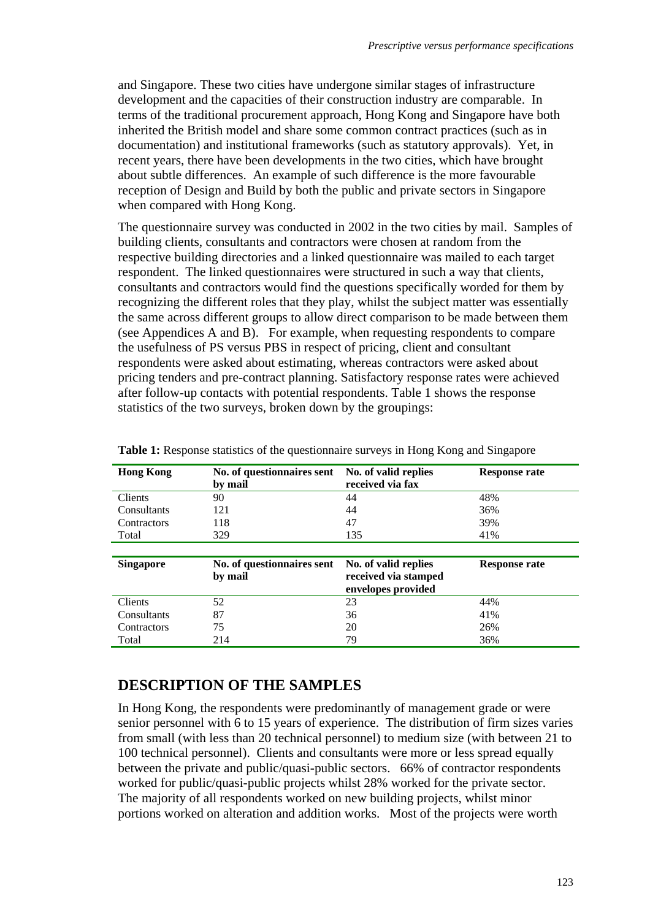and Singapore. These two cities have undergone similar stages of infrastructure development and the capacities of their construction industry are comparable. In terms of the traditional procurement approach, Hong Kong and Singapore have both inherited the British model and share some common contract practices (such as in documentation) and institutional frameworks (such as statutory approvals). Yet, in recent years, there have been developments in the two cities, which have brought about subtle differences. An example of such difference is the more favourable reception of Design and Build by both the public and private sectors in Singapore when compared with Hong Kong.

The questionnaire survey was conducted in 2002 in the two cities by mail. Samples of building clients, consultants and contractors were chosen at random from the respective building directories and a linked questionnaire was mailed to each target respondent. The linked questionnaires were structured in such a way that clients, consultants and contractors would find the questions specifically worded for them by recognizing the different roles that they play, whilst the subject matter was essentially the same across different groups to allow direct comparison to be made between them (see Appendices A and B). For example, when requesting respondents to compare the usefulness of PS versus PBS in respect of pricing, client and consultant respondents were asked about estimating, whereas contractors were asked about pricing tenders and pre-contract planning. Satisfactory response rates were achieved after follow-up contacts with potential respondents. Table 1 shows the response statistics of the two surveys, broken down by the groupings:

| <b>Hong Kong</b>   | No. of questionnaires sent<br>by mail | No. of valid replies<br>received via fax                           | Response rate        |
|--------------------|---------------------------------------|--------------------------------------------------------------------|----------------------|
| <b>Clients</b>     | 90                                    | 44                                                                 | 48%                  |
| Consultants        | 121                                   | 44                                                                 | 36%                  |
| Contractors        | 118                                   | 47                                                                 | 39%                  |
| Total              | 329                                   | 135                                                                | 41%                  |
|                    |                                       |                                                                    |                      |
| <b>Singapore</b>   | No. of questionnaires sent<br>by mail | No. of valid replies<br>received via stamped<br>envelopes provided | <b>Response rate</b> |
| Clients            | 52                                    | 23                                                                 | 44%                  |
| Consultants        | 87                                    | 36                                                                 | 41%                  |
|                    |                                       |                                                                    |                      |
| <b>Contractors</b> | 75                                    | 20                                                                 | 26%                  |

**Table 1:** Response statistics of the questionnaire surveys in Hong Kong and Singapore

### **DESCRIPTION OF THE SAMPLES**

In Hong Kong, the respondents were predominantly of management grade or were senior personnel with 6 to 15 years of experience. The distribution of firm sizes varies from small (with less than 20 technical personnel) to medium size (with between 21 to 100 technical personnel). Clients and consultants were more or less spread equally between the private and public/quasi-public sectors. 66% of contractor respondents worked for public/quasi-public projects whilst 28% worked for the private sector. The majority of all respondents worked on new building projects, whilst minor portions worked on alteration and addition works. Most of the projects were worth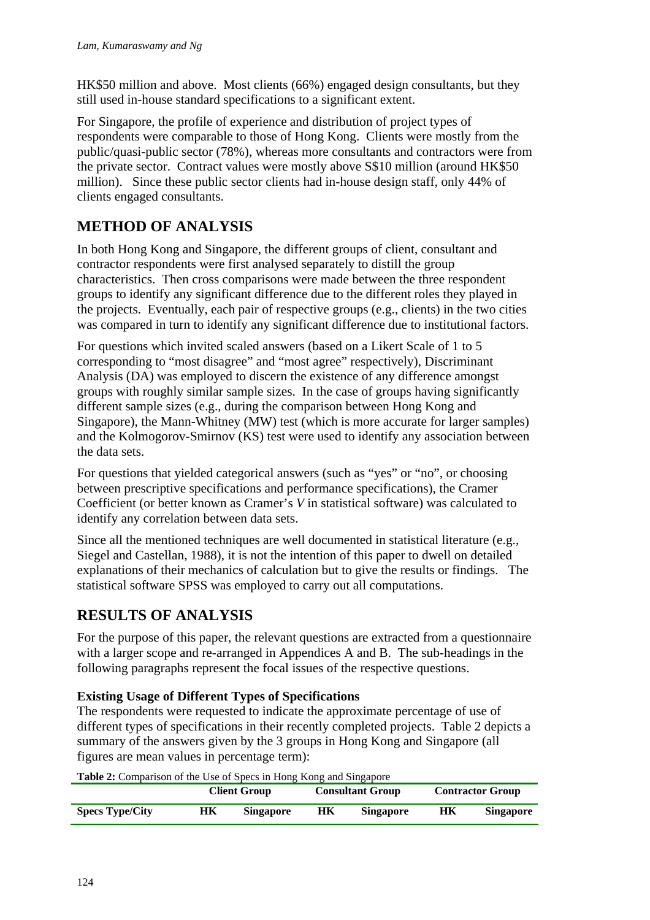HK\$50 million and above. Most clients (66%) engaged design consultants, but they still used in-house standard specifications to a significant extent.

For Singapore, the profile of experience and distribution of project types of respondents were comparable to those of Hong Kong. Clients were mostly from the public/quasi-public sector (78%), whereas more consultants and contractors were from the private sector. Contract values were mostly above S\$10 million (around HK\$50 million). Since these public sector clients had in-house design staff, only 44% of clients engaged consultants.

# **METHOD OF ANALYSIS**

In both Hong Kong and Singapore, the different groups of client, consultant and contractor respondents were first analysed separately to distill the group characteristics. Then cross comparisons were made between the three respondent groups to identify any significant difference due to the different roles they played in the projects. Eventually, each pair of respective groups (e.g., clients) in the two cities was compared in turn to identify any significant difference due to institutional factors.

For questions which invited scaled answers (based on a Likert Scale of 1 to 5 corresponding to "most disagree" and "most agree" respectively), Discriminant Analysis (DA) was employed to discern the existence of any difference amongst groups with roughly similar sample sizes. In the case of groups having significantly different sample sizes (e.g., during the comparison between Hong Kong and Singapore), the Mann-Whitney (MW) test (which is more accurate for larger samples) and the Kolmogorov-Smirnov (KS) test were used to identify any association between the data sets.

For questions that yielded categorical answers (such as "yes" or "no", or choosing between prescriptive specifications and performance specifications), the Cramer Coefficient (or better known as Cramer's *V* in statistical software) was calculated to identify any correlation between data sets.

Since all the mentioned techniques are well documented in statistical literature (e.g., Siegel and Castellan, 1988), it is not the intention of this paper to dwell on detailed explanations of their mechanics of calculation but to give the results or findings. The statistical software SPSS was employed to carry out all computations.

## **RESULTS OF ANALYSIS**

For the purpose of this paper, the relevant questions are extracted from a questionnaire with a larger scope and re-arranged in Appendices A and B. The sub-headings in the following paragraphs represent the focal issues of the respective questions.

### **Existing Usage of Different Types of Specifications**

The respondents were requested to indicate the approximate percentage of use of different types of specifications in their recently completed projects. Table 2 depicts a summary of the answers given by the 3 groups in Hong Kong and Singapore (all figures are mean values in percentage term):

**Table 2:** Comparison of the Use of Specs in Hong Kong and Singapore

|                        |    | <b>Client Group</b> |    | <b>Consultant Group</b> |    | <b>Contractor Group</b> |
|------------------------|----|---------------------|----|-------------------------|----|-------------------------|
| <b>Specs Type/City</b> | HК | <b>Singapore</b>    | НK | <b>Singapore</b>        | HК | <b>Singapore</b>        |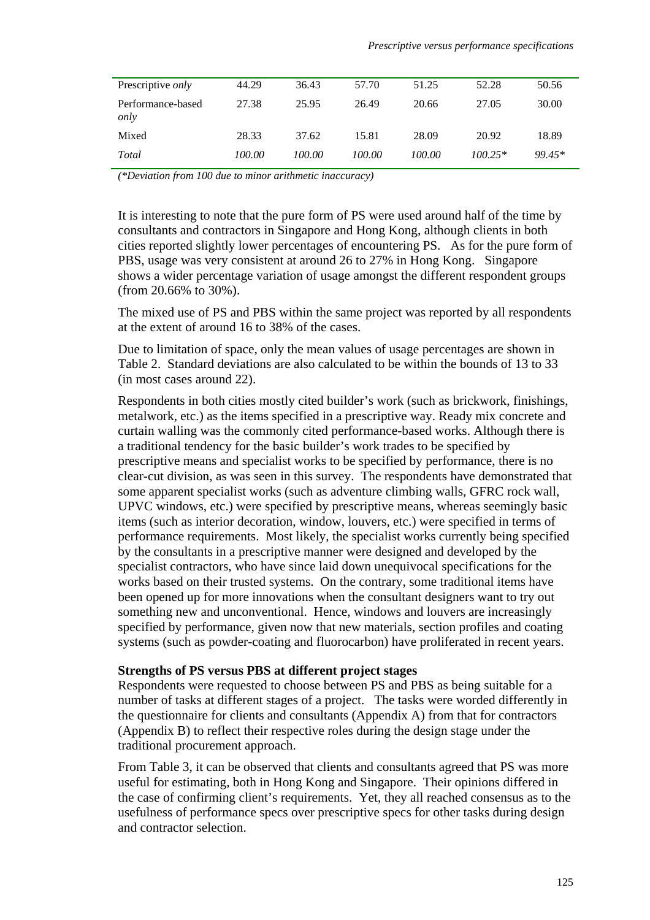| Prescriptive only         | 44.29  | 36.43  | 57.70  | 51.25  | 52.28     | 50.56  |
|---------------------------|--------|--------|--------|--------|-----------|--------|
| Performance-based<br>only | 27.38  | 25.95  | 26.49  | 20.66  | 27.05     | 30.00  |
| Mixed                     | 28.33  | 37.62  | 15.81  | 28.09  | 20.92     | 18.89  |
| Total                     | 100.00 | 100.00 | 100.00 | 100.00 | $100.25*$ | 99.45* |

*(\*Deviation from 100 due to minor arithmetic inaccuracy)* 

It is interesting to note that the pure form of PS were used around half of the time by consultants and contractors in Singapore and Hong Kong, although clients in both cities reported slightly lower percentages of encountering PS. As for the pure form of PBS, usage was very consistent at around 26 to 27% in Hong Kong. Singapore shows a wider percentage variation of usage amongst the different respondent groups (from 20.66% to 30%).

The mixed use of PS and PBS within the same project was reported by all respondents at the extent of around 16 to 38% of the cases.

Due to limitation of space, only the mean values of usage percentages are shown in Table 2. Standard deviations are also calculated to be within the bounds of 13 to 33 (in most cases around 22).

Respondents in both cities mostly cited builder's work (such as brickwork, finishings, metalwork, etc.) as the items specified in a prescriptive way. Ready mix concrete and curtain walling was the commonly cited performance-based works. Although there is a traditional tendency for the basic builder's work trades to be specified by prescriptive means and specialist works to be specified by performance, there is no clear-cut division, as was seen in this survey. The respondents have demonstrated that some apparent specialist works (such as adventure climbing walls, GFRC rock wall, UPVC windows, etc.) were specified by prescriptive means, whereas seemingly basic items (such as interior decoration, window, louvers, etc.) were specified in terms of performance requirements. Most likely, the specialist works currently being specified by the consultants in a prescriptive manner were designed and developed by the specialist contractors, who have since laid down unequivocal specifications for the works based on their trusted systems. On the contrary, some traditional items have been opened up for more innovations when the consultant designers want to try out something new and unconventional. Hence, windows and louvers are increasingly specified by performance, given now that new materials, section profiles and coating systems (such as powder-coating and fluorocarbon) have proliferated in recent years.

#### **Strengths of PS versus PBS at different project stages**

Respondents were requested to choose between PS and PBS as being suitable for a number of tasks at different stages of a project. The tasks were worded differently in the questionnaire for clients and consultants (Appendix A) from that for contractors (Appendix B) to reflect their respective roles during the design stage under the traditional procurement approach.

From Table 3, it can be observed that clients and consultants agreed that PS was more useful for estimating, both in Hong Kong and Singapore. Their opinions differed in the case of confirming client's requirements. Yet, they all reached consensus as to the usefulness of performance specs over prescriptive specs for other tasks during design and contractor selection.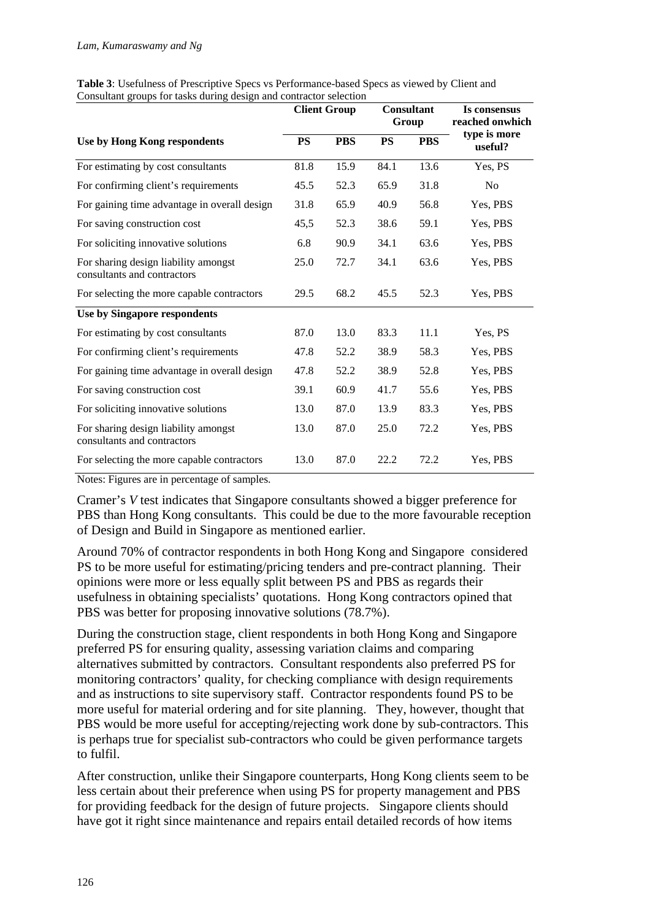|                                                                     |           | <b>Client Group</b> |           | <b>Consultant</b><br>Group | Is consensus<br>reached onwhich |  |
|---------------------------------------------------------------------|-----------|---------------------|-----------|----------------------------|---------------------------------|--|
| Use by Hong Kong respondents                                        | <b>PS</b> | <b>PBS</b>          | <b>PS</b> | <b>PBS</b>                 | type is more<br>useful?         |  |
| For estimating by cost consultants                                  | 81.8      | 15.9                | 84.1      | 13.6                       | Yes, PS                         |  |
| For confirming client's requirements                                | 45.5      | 52.3                | 65.9      | 31.8                       | No                              |  |
| For gaining time advantage in overall design                        | 31.8      | 65.9                | 40.9      | 56.8                       | Yes, PBS                        |  |
| For saving construction cost                                        | 45,5      | 52.3                | 38.6      | 59.1                       | Yes, PBS                        |  |
| For soliciting innovative solutions                                 | 6.8       | 90.9                | 34.1      | 63.6                       | Yes, PBS                        |  |
| For sharing design liability amongst<br>consultants and contractors | 25.0      | 72.7                | 34.1      | 63.6                       | Yes, PBS                        |  |
| For selecting the more capable contractors                          | 29.5      | 68.2                | 45.5      | 52.3                       | Yes, PBS                        |  |
| Use by Singapore respondents                                        |           |                     |           |                            |                                 |  |
| For estimating by cost consultants                                  | 87.0      | 13.0                | 83.3      | 11.1                       | Yes, PS                         |  |
| For confirming client's requirements                                | 47.8      | 52.2                | 38.9      | 58.3                       | Yes, PBS                        |  |
| For gaining time advantage in overall design                        | 47.8      | 52.2                | 38.9      | 52.8                       | Yes, PBS                        |  |
| For saving construction cost                                        | 39.1      | 60.9                | 41.7      | 55.6                       | Yes, PBS                        |  |
| For soliciting innovative solutions                                 | 13.0      | 87.0                | 13.9      | 83.3                       | Yes, PBS                        |  |
| For sharing design liability amongst<br>consultants and contractors | 13.0      | 87.0                | 25.0      | 72.2                       | Yes, PBS                        |  |
| For selecting the more capable contractors                          | 13.0      | 87.0                | 22.2      | 72.2                       | Yes, PBS                        |  |

**Table 3**: Usefulness of Prescriptive Specs vs Performance-based Specs as viewed by Client and Consultant groups for tasks during design and contractor selection

Notes: Figures are in percentage of samples.

Cramer's *V* test indicates that Singapore consultants showed a bigger preference for PBS than Hong Kong consultants. This could be due to the more favourable reception of Design and Build in Singapore as mentioned earlier.

Around 70% of contractor respondents in both Hong Kong and Singapore considered PS to be more useful for estimating/pricing tenders and pre-contract planning. Their opinions were more or less equally split between PS and PBS as regards their usefulness in obtaining specialists' quotations. Hong Kong contractors opined that PBS was better for proposing innovative solutions (78.7%).

During the construction stage, client respondents in both Hong Kong and Singapore preferred PS for ensuring quality, assessing variation claims and comparing alternatives submitted by contractors. Consultant respondents also preferred PS for monitoring contractors' quality, for checking compliance with design requirements and as instructions to site supervisory staff. Contractor respondents found PS to be more useful for material ordering and for site planning. They, however, thought that PBS would be more useful for accepting/rejecting work done by sub-contractors. This is perhaps true for specialist sub-contractors who could be given performance targets to fulfil.

After construction, unlike their Singapore counterparts, Hong Kong clients seem to be less certain about their preference when using PS for property management and PBS for providing feedback for the design of future projects. Singapore clients should have got it right since maintenance and repairs entail detailed records of how items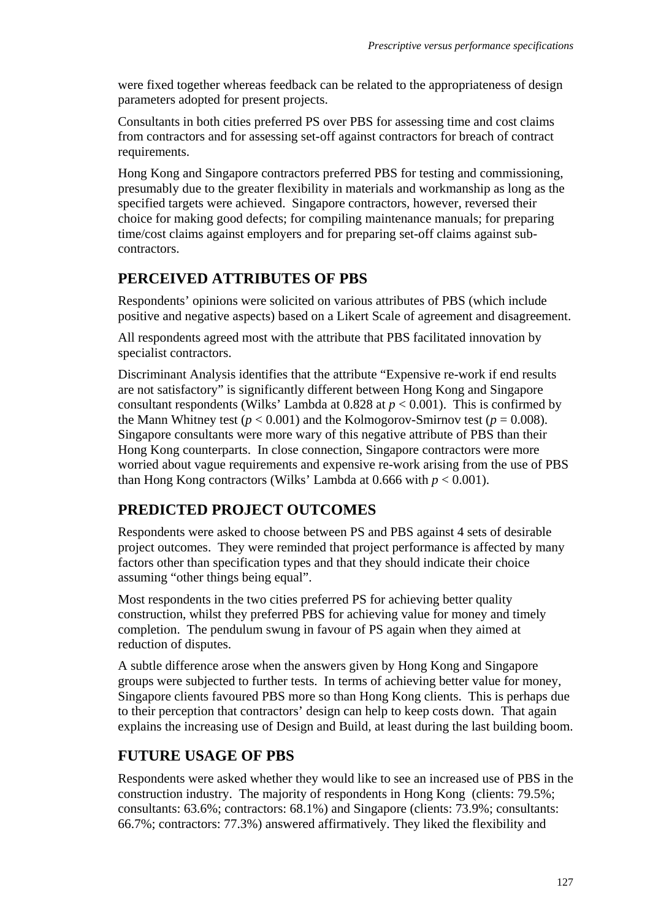were fixed together whereas feedback can be related to the appropriateness of design parameters adopted for present projects.

Consultants in both cities preferred PS over PBS for assessing time and cost claims from contractors and for assessing set-off against contractors for breach of contract requirements.

Hong Kong and Singapore contractors preferred PBS for testing and commissioning, presumably due to the greater flexibility in materials and workmanship as long as the specified targets were achieved. Singapore contractors, however, reversed their choice for making good defects; for compiling maintenance manuals; for preparing time/cost claims against employers and for preparing set-off claims against subcontractors.

## **PERCEIVED ATTRIBUTES OF PBS**

Respondents' opinions were solicited on various attributes of PBS (which include positive and negative aspects) based on a Likert Scale of agreement and disagreement.

All respondents agreed most with the attribute that PBS facilitated innovation by specialist contractors.

Discriminant Analysis identifies that the attribute "Expensive re-work if end results are not satisfactory" is significantly different between Hong Kong and Singapore consultant respondents (Wilks' Lambda at 0.828 at *p* < 0.001). This is confirmed by the Mann Whitney test ( $p < 0.001$ ) and the Kolmogorov-Smirnov test ( $p = 0.008$ ). Singapore consultants were more wary of this negative attribute of PBS than their Hong Kong counterparts. In close connection, Singapore contractors were more worried about vague requirements and expensive re-work arising from the use of PBS than Hong Kong contractors (Wilks' Lambda at  $0.666$  with  $p < 0.001$ ).

## **PREDICTED PROJECT OUTCOMES**

Respondents were asked to choose between PS and PBS against 4 sets of desirable project outcomes. They were reminded that project performance is affected by many factors other than specification types and that they should indicate their choice assuming "other things being equal".

Most respondents in the two cities preferred PS for achieving better quality construction, whilst they preferred PBS for achieving value for money and timely completion. The pendulum swung in favour of PS again when they aimed at reduction of disputes.

A subtle difference arose when the answers given by Hong Kong and Singapore groups were subjected to further tests. In terms of achieving better value for money, Singapore clients favoured PBS more so than Hong Kong clients. This is perhaps due to their perception that contractors' design can help to keep costs down. That again explains the increasing use of Design and Build, at least during the last building boom.

## **FUTURE USAGE OF PBS**

Respondents were asked whether they would like to see an increased use of PBS in the construction industry. The majority of respondents in Hong Kong (clients: 79.5%; consultants: 63.6%; contractors: 68.1%) and Singapore (clients: 73.9%; consultants: 66.7%; contractors: 77.3%) answered affirmatively. They liked the flexibility and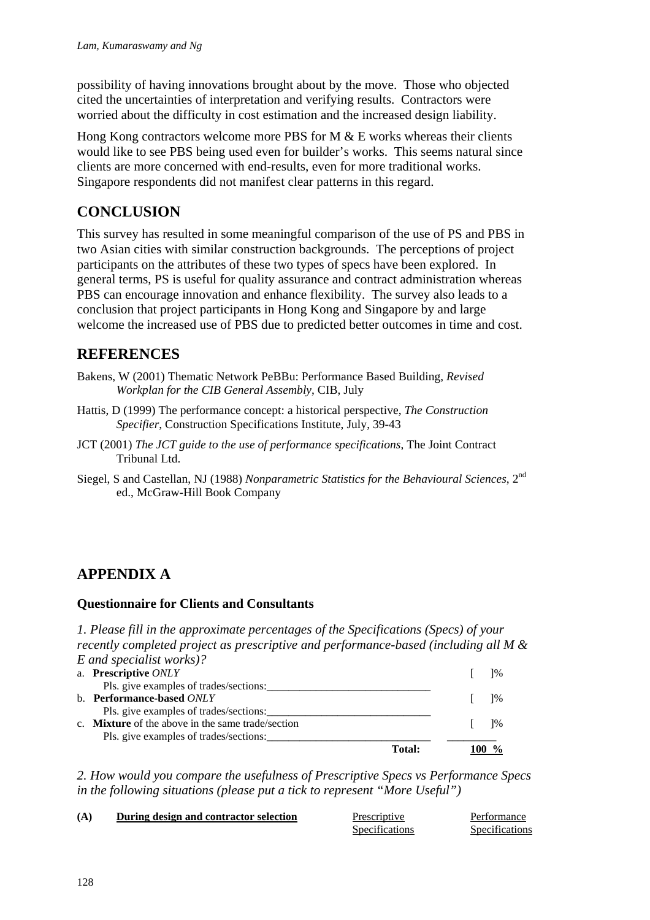possibility of having innovations brought about by the move. Those who objected cited the uncertainties of interpretation and verifying results. Contractors were worried about the difficulty in cost estimation and the increased design liability.

Hong Kong contractors welcome more PBS for M  $&$  E works whereas their clients would like to see PBS being used even for builder's works. This seems natural since clients are more concerned with end-results, even for more traditional works. Singapore respondents did not manifest clear patterns in this regard.

## **CONCLUSION**

This survey has resulted in some meaningful comparison of the use of PS and PBS in two Asian cities with similar construction backgrounds. The perceptions of project participants on the attributes of these two types of specs have been explored. In general terms, PS is useful for quality assurance and contract administration whereas PBS can encourage innovation and enhance flexibility. The survey also leads to a conclusion that project participants in Hong Kong and Singapore by and large welcome the increased use of PBS due to predicted better outcomes in time and cost.

### **REFERENCES**

- Bakens, W (2001) Thematic Network PeBBu: Performance Based Building, *Revised Workplan for the CIB General Assembly*, CIB, July
- Hattis, D (1999) The performance concept: a historical perspective, *The Construction Specifier*, Construction Specifications Institute, July, 39-43
- JCT (2001) *The JCT guide to the use of performance specifications*, The Joint Contract Tribunal Ltd.
- Siegel, S and Castellan, NJ (1988) *Nonparametric Statistics for the Behavioural Sciences*, 2nd ed., McGraw-Hill Book Company

## **APPENDIX A**

#### **Questionnaire for Clients and Consultants**

*1. Please fill in the approximate percentages of the Specifications (Specs) of your recently completed project as prescriptive and performance-based (including all M & E and specialist works)?* 

| a. Prescriptive ONLY                                     |  | $1\%$ |
|----------------------------------------------------------|--|-------|
| Pls. give examples of trades/sections:                   |  |       |
| b. Performance-based ONLY                                |  | $1\%$ |
| Pls. give examples of trades/sections:                   |  |       |
| c. <b>Mixture</b> of the above in the same trade/section |  | $1\%$ |
| Pls. give examples of trades/sections:                   |  |       |
| <b>Total:</b>                                            |  |       |

*2. How would you compare the usefulness of Prescriptive Specs vs Performance Specs in the following situations (please put a tick to represent "More Useful")* 

| (A) | During design and contractor selection | Prescriptive          | Performance    |
|-----|----------------------------------------|-----------------------|----------------|
|     |                                        | <b>Specifications</b> | Specifications |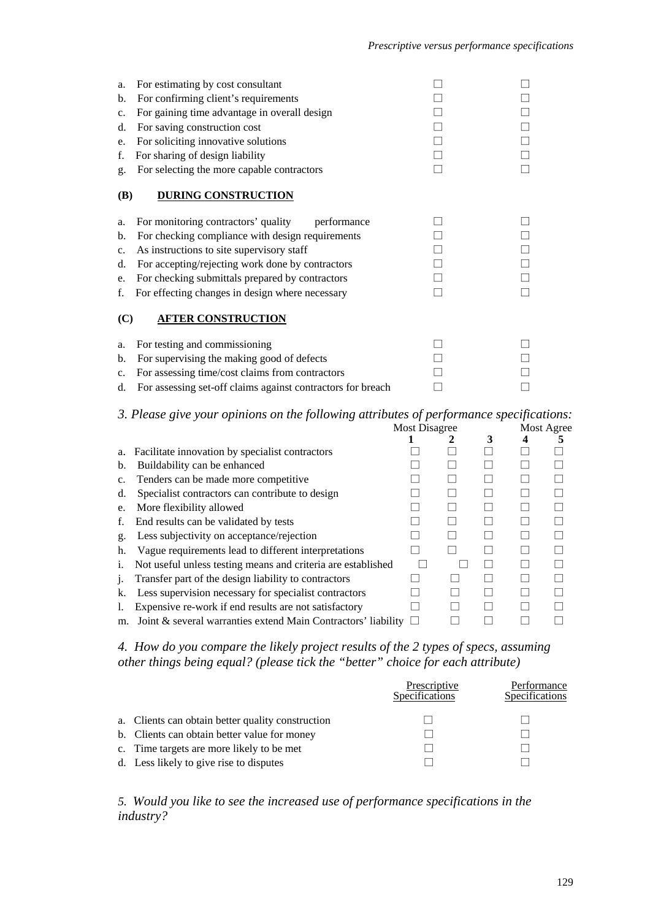| a.<br>b.<br>$\mathbf{c}$ .<br>d.<br>e.<br>f.<br>g. | For estimating by cost consultant<br>For confirming client's requirements<br>For gaining time advantage in overall design<br>For saving construction cost<br>For soliciting innovative solutions<br>For sharing of design liability<br>For selecting the more capable contractors                                                           |  |
|----------------------------------------------------|---------------------------------------------------------------------------------------------------------------------------------------------------------------------------------------------------------------------------------------------------------------------------------------------------------------------------------------------|--|
| <b>(B)</b><br>a.<br>b.<br>c.<br>d.<br>e.<br>f.     | <b>DURING CONSTRUCTION</b><br>For monitoring contractors' quality<br>performance<br>For checking compliance with design requirements<br>As instructions to site supervisory staff<br>For accepting/rejecting work done by contractors<br>For checking submittals prepared by contractors<br>For effecting changes in design where necessary |  |
| (C)<br>a.<br>b.<br>c.<br>d.                        | <b>AFTER CONSTRUCTION</b><br>For testing and commissioning<br>For supervising the making good of defects<br>For assessing time/cost claims from contractors<br>For assessing set-off claims against contractors for breach                                                                                                                  |  |

#### *3. Please give your opinions on the following attributes of performance specifications:*

|    |                                                               | <b>Most Disagree</b> |  |   | Most Agree |  |  |
|----|---------------------------------------------------------------|----------------------|--|---|------------|--|--|
|    |                                                               |                      |  | 3 |            |  |  |
| a. | Facilitate innovation by specialist contractors               |                      |  |   |            |  |  |
| b. | Buildability can be enhanced                                  |                      |  |   |            |  |  |
| C. | Tenders can be made more competitive                          |                      |  |   |            |  |  |
| d. | Specialist contractors can contribute to design               |                      |  |   |            |  |  |
| e. | More flexibility allowed                                      |                      |  |   |            |  |  |
| f. | End results can be validated by tests                         |                      |  |   |            |  |  |
| g. | Less subjectivity on acceptance/rejection                     |                      |  |   |            |  |  |
| h. | Vague requirements lead to different interpretations          |                      |  |   |            |  |  |
| 1. | Not useful unless testing means and criteria are established  |                      |  |   |            |  |  |
| 1. | Transfer part of the design liability to contractors          |                      |  |   |            |  |  |
| k. | Less supervision necessary for specialist contractors         |                      |  |   |            |  |  |
|    | Expensive re-work if end results are not satisfactory         |                      |  |   |            |  |  |
| m. | Joint & several warranties extend Main Contractors' liability |                      |  |   |            |  |  |

*4. How do you compare the likely project results of the 2 types of specs, assuming other things being equal? (please tick the "better" choice for each attribute)* 

|                                                   | Prescriptive<br><b>Specifications</b> | Performance<br>Specifications |
|---------------------------------------------------|---------------------------------------|-------------------------------|
| a. Clients can obtain better quality construction |                                       |                               |
| b. Clients can obtain better value for money      |                                       |                               |
| c. Time targets are more likely to be met         |                                       |                               |
| d. Less likely to give rise to disputes           |                                       |                               |

#### *5. Would you like to see the increased use of performance specifications in the industry?*